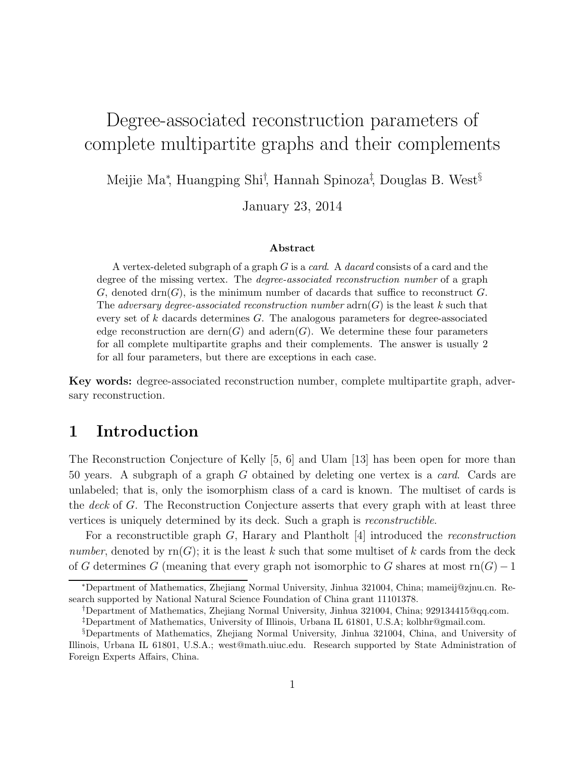# Degree-associated reconstruction parameters of complete multipartite graphs and their complements

Meijie Ma<sup>∗</sup>, Huangping Shi<sup>†</sup>, Hannah Spinoza<sup>‡</sup>, Douglas B. West<sup>§</sup>

January 23, 2014

#### Abstract

A vertex-deleted subgraph of a graph  $G$  is a *card*. A *dacard* consists of a card and the degree of the missing vertex. The degree-associated reconstruction number of a graph G, denoted drn(G), is the minimum number of dacards that suffice to reconstruct G. The adversary degree-associated reconstruction number  $\text{adrn}(G)$  is the least k such that every set of  $k$  dacards determines  $G$ . The analogous parameters for degree-associated edge reconstruction are dern $(G)$  and adern $(G)$ . We determine these four parameters for all complete multipartite graphs and their complements. The answer is usually 2 for all four parameters, but there are exceptions in each case.

Key words: degree-associated reconstruction number, complete multipartite graph, adversary reconstruction.

### 1 Introduction

The Reconstruction Conjecture of Kelly [5, 6] and Ulam [13] has been open for more than 50 years. A subgraph of a graph G obtained by deleting one vertex is a *card*. Cards are unlabeled; that is, only the isomorphism class of a card is known. The multiset of cards is the *deck* of G. The Reconstruction Conjecture asserts that every graph with at least three vertices is uniquely determined by its deck. Such a graph is *reconstructible*.

For a reconstructible graph G, Harary and Plantholt [4] introduced the *reconstruction number*, denoted by  $rn(G)$ ; it is the least k such that some multiset of k cards from the deck of G determines G (meaning that every graph not isomorphic to G shares at most rn $(G) - 1$ 

<sup>∗</sup>Department of Mathematics, Zhejiang Normal University, Jinhua 321004, China; mameij@zjnu.cn. Research supported by National Natural Science Foundation of China grant 11101378.

<sup>†</sup>Department of Mathematics, Zhejiang Normal University, Jinhua 321004, China; 929134415@qq.com.

<sup>‡</sup>Department of Mathematics, University of Illinois, Urbana IL 61801, U.S.A; kolbhr@gmail.com.

<sup>§</sup>Departments of Mathematics, Zhejiang Normal University, Jinhua 321004, China, and University of Illinois, Urbana IL 61801, U.S.A.; west@math.uiuc.edu. Research supported by State Administration of Foreign Experts Affairs, China.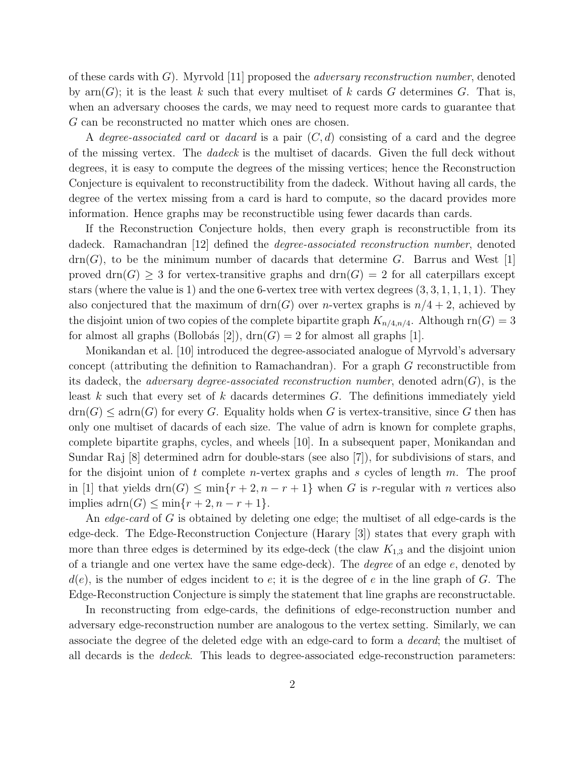of these cards with G). Myrvold [11] proposed the *adversary reconstruction number*, denoted by  $\text{arm}(G)$ ; it is the least k such that every multiset of k cards G determines G. That is, when an adversary chooses the cards, we may need to request more cards to guarantee that G can be reconstructed no matter which ones are chosen.

A *degree-associated card* or *dacard* is a pair (C, d) consisting of a card and the degree of the missing vertex. The *dadeck* is the multiset of dacards. Given the full deck without degrees, it is easy to compute the degrees of the missing vertices; hence the Reconstruction Conjecture is equivalent to reconstructibility from the dadeck. Without having all cards, the degree of the vertex missing from a card is hard to compute, so the dacard provides more information. Hence graphs may be reconstructible using fewer dacards than cards.

If the Reconstruction Conjecture holds, then every graph is reconstructible from its dadeck. Ramachandran [12] defined the *degree-associated reconstruction number*, denoted  $\text{drn}(G)$ , to be the minimum number of dacards that determine G. Barrus and West [1] proved drn(G)  $\geq$  3 for vertex-transitive graphs and drn(G) = 2 for all caterpillars except stars (where the value is 1) and the one 6-vertex tree with vertex degrees  $(3, 3, 1, 1, 1, 1)$ . They also conjectured that the maximum of drn(G) over *n*-vertex graphs is  $n/4 + 2$ , achieved by the disjoint union of two copies of the complete bipartite graph  $K_{n/4,n/4}$ . Although rn( $G$ ) = 3 for almost all graphs (Bollobás [2]),  $\text{drn}(G) = 2$  for almost all graphs [1].

Monikandan et al. [10] introduced the degree-associated analogue of Myrvold's adversary concept (attributing the definition to Ramachandran). For a graph G reconstructible from its dadeck, the *adversary degree-associated reconstruction number*, denoted adrn(G), is the least  $k$  such that every set of  $k$  dacards determines  $G$ . The definitions immediately yield  $\text{drn}(G) \leq \text{adrn}(G)$  for every G. Equality holds when G is vertex-transitive, since G then has only one multiset of dacards of each size. The value of adrn is known for complete graphs, complete bipartite graphs, cycles, and wheels [10]. In a subsequent paper, Monikandan and Sundar Raj [8] determined adrn for double-stars (see also [7]), for subdivisions of stars, and for the disjoint union of t complete *n*-vertex graphs and s cycles of length  $m$ . The proof in [1] that yields drn(G)  $\leq$  min{ $r + 2, n - r + 1$ } when G is r-regular with n vertices also implies  $adrn(G) \leq min\{r+2, n-r+1\}.$ 

An *edge-card* of G is obtained by deleting one edge; the multiset of all edge-cards is the edge-deck. The Edge-Reconstruction Conjecture (Harary [3]) states that every graph with more than three edges is determined by its edge-deck (the claw  $K_{1,3}$  and the disjoint union of a triangle and one vertex have the same edge-deck). The *degree* of an edge e, denoted by  $d(e)$ , is the number of edges incident to e; it is the degree of e in the line graph of G. The Edge-Reconstruction Conjecture is simply the statement that line graphs are reconstructable.

In reconstructing from edge-cards, the definitions of edge-reconstruction number and adversary edge-reconstruction number are analogous to the vertex setting. Similarly, we can associate the degree of the deleted edge with an edge-card to form a *decard*; the multiset of all decards is the *dedeck*. This leads to degree-associated edge-reconstruction parameters: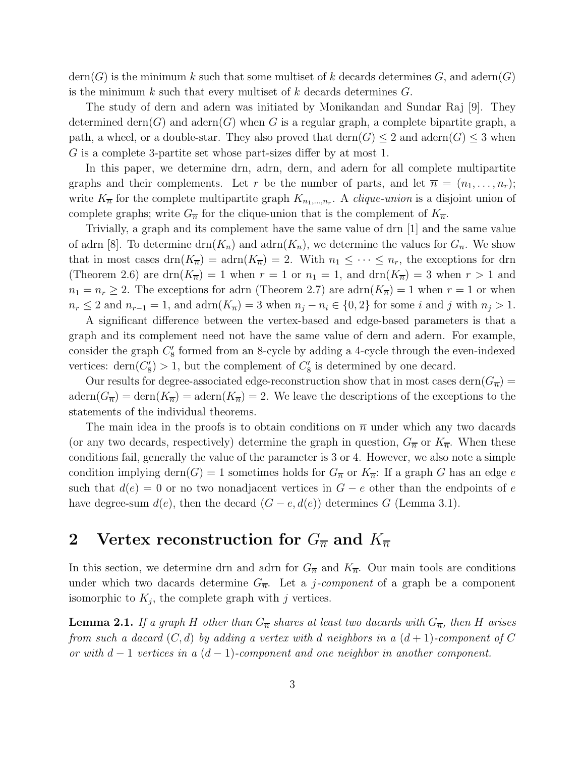$\text{dern}(G)$  is the minimum k such that some multiset of k decards determines G, and adern $(G)$ is the minimum k such that every multiset of k decards determines  $G$ .

The study of dern and adern was initiated by Monikandan and Sundar Raj [9]. They determined dern(G) and adern(G) when G is a regular graph, a complete bipartite graph, a path, a wheel, or a double-star. They also proved that  $\text{dern}(G) \leq 2$  and  $\text{adern}(G) \leq 3$  when G is a complete 3-partite set whose part-sizes differ by at most 1.

In this paper, we determine drn, adrn, dern, and adern for all complete multipartite graphs and their complements. Let r be the number of parts, and let  $\overline{n} = (n_1, \ldots, n_r);$ write  $K_{\overline{n}}$  for the complete multipartite graph  $K_{n_1,\dots,n_r}$ . A *clique-union* is a disjoint union of complete graphs; write  $G_{\overline{n}}$  for the clique-union that is the complement of  $K_{\overline{n}}$ .

Trivially, a graph and its complement have the same value of drn [1] and the same value of adrn [8]. To determine drn $(K_{\overline{n}})$  and adrn $(K_{\overline{n}})$ , we determine the values for  $G_{\overline{n}}$ . We show that in most cases  $\text{drn}(K_{\overline{n}}) = \text{adrn}(K_{\overline{n}}) = 2$ . With  $n_1 \leq \cdots \leq n_r$ , the exceptions for drn (Theorem 2.6) are  $\text{drn}(K_{\overline{n}}) = 1$  when  $r = 1$  or  $n_1 = 1$ , and  $\text{drn}(K_{\overline{n}}) = 3$  when  $r > 1$  and  $n_1 = n_r \geq 2$ . The exceptions for adrn (Theorem 2.7) are adrn $(K_{\overline{n}}) = 1$  when  $r = 1$  or when  $n_r \leq 2$  and  $n_{r-1} = 1$ , and  $adrn(K_{\overline{n}}) = 3$  when  $n_j - n_i \in \{0, 2\}$  for some i and j with  $n_j > 1$ .

A significant difference between the vertex-based and edge-based parameters is that a graph and its complement need not have the same value of dern and adern. For example, consider the graph  $C'_{8}$ 8 formed from an 8-cycle by adding a 4-cycle through the even-indexed vertices:  $\text{dern}(C_8'')$  $S'_{8}$ ) > 1, but the complement of  $C'_{8}$  $\frac{1}{8}$  is determined by one decard.

Our results for degree-associated edge-reconstruction show that in most cases dern $(G_{\overline{n}})$  =  $adern(G_{\overline{n}}) = \text{dern}(K_{\overline{n}}) = adern(K_{\overline{n}}) = 2$ . We leave the descriptions of the exceptions to the statements of the individual theorems.

The main idea in the proofs is to obtain conditions on  $\overline{n}$  under which any two dacards (or any two decards, respectively) determine the graph in question,  $G_{\overline{n}}$  or  $K_{\overline{n}}$ . When these conditions fail, generally the value of the parameter is 3 or 4. However, we also note a simple condition implying dern $(G) = 1$  sometimes holds for  $G_{\overline{n}}$  or  $K_{\overline{n}}$ : If a graph G has an edge e such that  $d(e) = 0$  or no two nonadjacent vertices in  $G - e$  other than the endpoints of e have degree-sum  $d(e)$ , then the decard  $(G - e, d(e))$  determines G (Lemma 3.1).

## 2 Vertex reconstruction for  $G_{\overline{n}}$  and  $K_{\overline{n}}$

In this section, we determine drn and adrn for  $G_{\overline{n}}$  and  $K_{\overline{n}}$ . Our main tools are conditions under which two dacards determine  $G_{\overline{n}}$ . Let a *j-component* of a graph be a component isomorphic to  $K_j$ , the complete graph with j vertices.

**Lemma 2.1.** If a graph H other than  $G_{\overline{n}}$  shares at least two dacards with  $G_{\overline{n}}$ , then H arises *from such a dacard* (C, d) *by adding a vertex with* d *neighbors in a* (d + 1)*-component of* C *or with* d − 1 *vertices in a* (d − 1)*-component and one neighbor in another component.*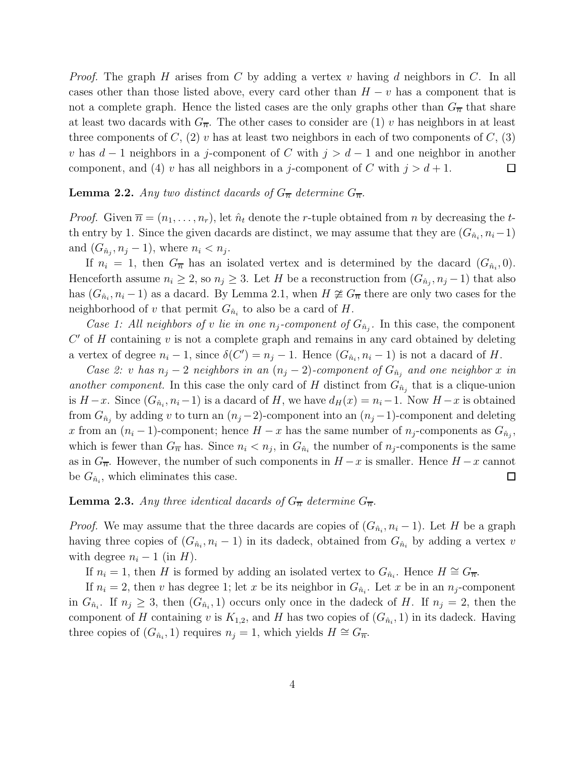*Proof.* The graph H arises from C by adding a vertex v having d neighbors in C. In all cases other than those listed above, every card other than  $H - v$  has a component that is not a complete graph. Hence the listed cases are the only graphs other than  $G_{\overline{n}}$  that share at least two dacards with  $G_{\overline{n}}$ . The other cases to consider are (1) v has neighbors in at least three components of C, (2) v has at least two neighbors in each of two components of C, (3) v has  $d-1$  neighbors in a j-component of C with  $j > d-1$  and one neighbor in another component, and (4) v has all neighbors in a j-component of C with  $j > d+1$ .  $\Box$ 

### **Lemma 2.2.** Any two distinct dacards of  $G_{\overline{n}}$  determine  $G_{\overline{n}}$ .

*Proof.* Given  $\overline{n} = (n_1, \ldots, n_r)$ , let  $\hat{n}_t$  denote the *r*-tuple obtained from *n* by decreasing the *t*th entry by 1. Since the given dacards are distinct, we may assume that they are  $(G_{\hat{n}_i}, n_i-1)$ and  $(G_{\hat{n}_j}, n_j - 1)$ , where  $n_i < n_j$ .

If  $n_i = 1$ , then  $G_{\overline{n}}$  has an isolated vertex and is determined by the dacard  $(G_{\hat{n}_i}, 0)$ . Henceforth assume  $n_i \geq 2$ , so  $n_j \geq 3$ . Let H be a reconstruction from  $(G_{\hat{n}_j}, n_j - 1)$  that also has  $(G_{\hat{n}_i}, n_i-1)$  as a dacard. By Lemma 2.1, when  $H \ncong G_{\overline{n}}$  there are only two cases for the neighborhood of v that permit  $G_{\hat{n}_i}$  to also be a card of H.

*Case 1: All neighbors of v lie in one*  $n_j$ -component of  $G_{\hat{n}_j}$ . In this case, the component  $C'$  of  $H$  containing  $v$  is not a complete graph and remains in any card obtained by deleting a vertex of degree  $n_i - 1$ , since  $\delta(C') = n_j - 1$ . Hence  $(G_{\hat{n}_i}, n_i - 1)$  is not a dacard of H.

*Case 2:* v *has*  $n_j - 2$  *neighbors in an*  $(n_j - 2)$ -component of  $G_{\hat{n}_j}$  and one neighbor x in *another component.* In this case the only card of H distinct from  $G_{\hat{n}_j}$  that is a clique-union is  $H-x$ . Since  $(G_{\hat{n}_i}, n_i-1)$  is a dacard of H, we have  $d_H(x) = n_i-1$ . Now  $H-x$  is obtained from  $G_{\hat{n}_j}$  by adding v to turn an  $(n_j-2)$ -component into an  $(n_j-1)$ -component and deleting x from an  $(n_i-1)$ -component; hence  $H-x$  has the same number of  $n_j$ -components as  $G_{\hat{n}_j}$ , which is fewer than  $G_{\overline{n}}$  has. Since  $n_i < n_j$ , in  $G_{\hat{n}_i}$  the number of  $n_j$ -components is the same as in  $G_{\overline{n}}$ . However, the number of such components in  $H - x$  is smaller. Hence  $H - x$  cannot be  $G_{\hat{n}_i}$ , which eliminates this case.  $\Box$ 

#### **Lemma 2.3.** Any three identical dacards of  $G_{\overline{n}}$  determine  $G_{\overline{n}}$ .

*Proof.* We may assume that the three dacards are copies of  $(G_{\hat{n}_i}, n_i - 1)$ . Let H be a graph having three copies of  $(G_{\hat{n}_i}, n_i - 1)$  in its dadeck, obtained from  $G_{\hat{n}_i}$  by adding a vertex v with degree  $n_i - 1$  (in H).

If  $n_i = 1$ , then H is formed by adding an isolated vertex to  $G_{\hat{n}_i}$ . Hence  $H \cong G_{\overline{n}}$ .

If  $n_i = 2$ , then v has degree 1; let x be its neighbor in  $G_{\hat{n}_i}$ . Let x be in an  $n_j$ -component in  $G_{\hat{n}_i}$ . If  $n_j \geq 3$ , then  $(G_{\hat{n}_i}, 1)$  occurs only once in the dadeck of H. If  $n_j = 2$ , then the component of H containing v is  $K_{1,2}$ , and H has two copies of  $(G_{\hat{n}_i}, 1)$  in its dadeck. Having three copies of  $(G_{\hat{n}_i}, 1)$  requires  $n_j = 1$ , which yields  $H \cong G_{\overline{n}}$ .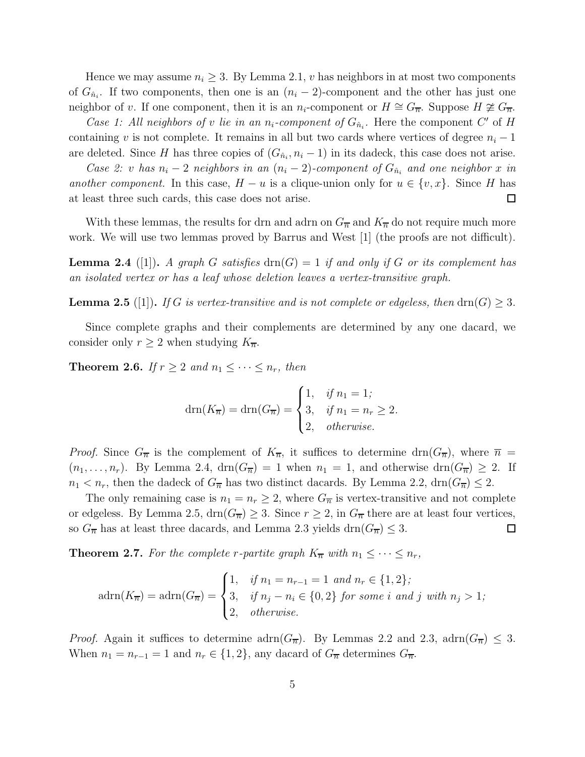Hence we may assume  $n_i \geq 3$ . By Lemma 2.1, v has neighbors in at most two components of  $G_{\hat{n}_i}$ . If two components, then one is an  $(n_i - 2)$ -component and the other has just one neighbor of v. If one component, then it is an  $n_i$ -component or  $H \cong G_{\overline{n}}$ . Suppose  $H \not\cong G_{\overline{n}}$ .

*Case 1: All neighbors of v lie in an*  $n_i$ *-component of*  $G_{\hat{n}_i}$ . Here the component  $C'$  of  $H$ containing v is not complete. It remains in all but two cards where vertices of degree  $n<sub>i</sub> - 1$ are deleted. Since H has three copies of  $(G_{\hat{n}_i}, n_i - 1)$  in its dadeck, this case does not arise.

*Case 2:* v *has*  $n_i - 2$  *neighbors in an*  $(n_i - 2)$ -component of  $G_{\hat{n}_i}$  and one neighbor x in *another component.* In this case,  $H - u$  is a clique-union only for  $u \in \{v, x\}$ . Since H has at least three such cards, this case does not arise.  $\Box$ 

With these lemmas, the results for drn and adrn on  $G_{\overline{n}}$  and  $K_{\overline{n}}$  do not require much more work. We will use two lemmas proved by Barrus and West [1] (the proofs are not difficult).

**Lemma 2.4** ([1]). A graph G satisfies  $\text{drn}(G) = 1$  if and only if G or its complement has *an isolated vertex or has a leaf whose deletion leaves a vertex-transitive graph.*

**Lemma 2.5** ([1]). *If* G *is vertex-transitive and is not complete or edgeless, then* drn(G)  $\geq$  3.

Since complete graphs and their complements are determined by any one dacard, we consider only  $r \geq 2$  when studying  $K_{\overline{n}}$ .

**Theorem 2.6.** *If*  $r \geq 2$  *and*  $n_1 \leq \cdots \leq n_r$ *, then* 

$$
d\text{rn}(K_{\overline{n}}) = \text{drn}(G_{\overline{n}}) = \begin{cases} 1, & \text{if } n_1 = 1; \\ 3, & \text{if } n_1 = n_r \ge 2. \\ 2, & \text{otherwise.} \end{cases}
$$

*Proof.* Since  $G_{\overline{n}}$  is the complement of  $K_{\overline{n}}$ , it suffices to determine drn $(G_{\overline{n}})$ , where  $\overline{n}$  =  $(n_1, \ldots, n_r)$ . By Lemma 2.4,  $\dim(G_{\overline{n}}) = 1$  when  $n_1 = 1$ , and otherwise  $\dim(G_{\overline{n}}) \geq 2$ . If  $n_1 < n_r$ , then the dadeck of  $G_{\overline{n}}$  has two distinct dacards. By Lemma 2.2,  $\text{drn}(G_{\overline{n}}) \leq 2$ .

The only remaining case is  $n_1 = n_r \geq 2$ , where  $G_{\overline{n}}$  is vertex-transitive and not complete or edgeless. By Lemma 2.5,  $\text{drn}(G_{\overline{n}}) \geq 3$ . Since  $r \geq 2$ , in  $G_{\overline{n}}$  there are at least four vertices, so  $G_{\overline{n}}$  has at least three dacards, and Lemma 2.3 yields drn $(G_{\overline{n}}) \leq 3$ .  $\Box$ 

**Theorem 2.7.** For the complete r-partite graph  $K_{\overline{n}}$  with  $n_1 \leq \cdots \leq n_r$ ,

$$
adrn(K_{\overline{n}}) = adrn(G_{\overline{n}}) = \begin{cases} 1, & \text{if } n_1 = n_{r-1} = 1 \text{ and } n_r \in \{1, 2\}; \\ 3, & \text{if } n_j - n_i \in \{0, 2\} \text{ for some } i \text{ and } j \text{ with } n_j > 1; \\ 2, & \text{otherwise.} \end{cases}
$$

*Proof.* Again it suffices to determine adrn $(G_{\overline{n}})$ . By Lemmas 2.2 and 2.3, adrn $(G_{\overline{n}}) \leq 3$ . When  $n_1 = n_{r-1} = 1$  and  $n_r \in \{1, 2\}$ , any dacard of  $G_{\overline{n}}$  determines  $G_{\overline{n}}$ .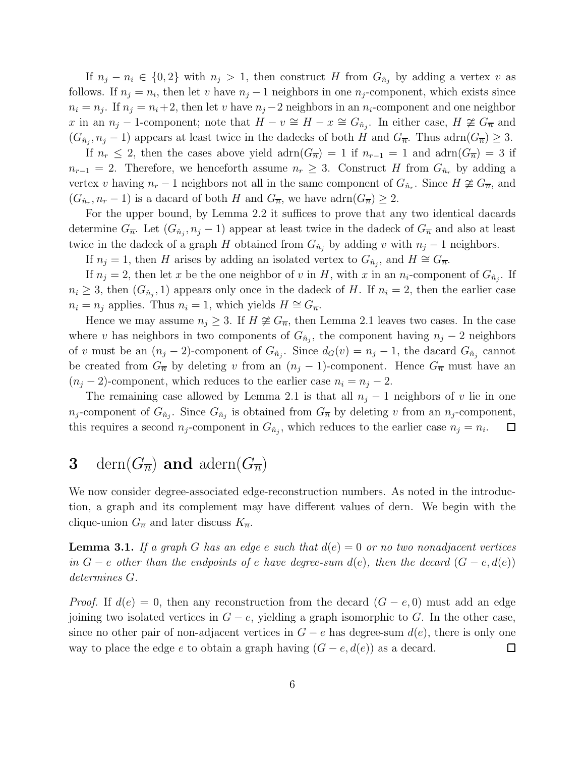If  $n_j - n_i \in \{0, 2\}$  with  $n_j > 1$ , then construct H from  $G_{\hat{n}_j}$  by adding a vertex v as follows. If  $n_j = n_i$ , then let v have  $n_j - 1$  neighbors in one  $n_j$ -component, which exists since  $n_i = n_j$ . If  $n_j = n_i + 2$ , then let v have  $n_j - 2$  neighbors in an  $n_i$ -component and one neighbor x in an  $n_j - 1$ -component; note that  $H - v \cong H - x \cong G_{\hat{n}_j}$ . In either case,  $H \ncong G_{\overline{n}}$  and  $(G_{\hat{n}_j}, n_j - 1)$  appears at least twice in the dadecks of both H and  $G_{\overline{n}}$ . Thus  $adrn(G_{\overline{n}}) \geq 3$ .

If  $n_r \leq 2$ , then the cases above yield  $\text{adrn}(G_{\overline{n}}) = 1$  if  $n_{r-1} = 1$  and  $\text{adrn}(G_{\overline{n}}) = 3$  if  $n_{r-1} = 2$ . Therefore, we henceforth assume  $n_r \geq 3$ . Construct H from  $G_{\hat{n}_r}$  by adding a vertex v having  $n_r - 1$  neighbors not all in the same component of  $G_{\hat{n}_r}$ . Since  $H \not\cong G_{\overline{n}}$ , and  $(G_{\hat{n}_r}, n_r - 1)$  is a dacard of both H and  $G_{\overline{n}}$ , we have  $adrn(G_{\overline{n}}) \geq 2$ .

For the upper bound, by Lemma 2.2 it suffices to prove that any two identical dacards determine  $G_{\overline{n}}$ . Let  $(G_{\hat{n}_j}, n_j - 1)$  appear at least twice in the dadeck of  $G_{\overline{n}}$  and also at least twice in the dadeck of a graph H obtained from  $G_{\hat{n}_j}$  by adding v with  $n_j - 1$  neighbors.

If  $n_j = 1$ , then H arises by adding an isolated vertex to  $G_{\hat{n}_j}$ , and  $H \cong G_{\overline{n}}$ .

If  $n_j = 2$ , then let x be the one neighbor of v in H, with x in an  $n_i$ -component of  $G_{\hat{n}_j}$ . If  $n_i \geq 3$ , then  $(G_{\hat{n}_j}, 1)$  appears only once in the dadeck of H. If  $n_i = 2$ , then the earlier case  $n_i = n_j$  applies. Thus  $n_i = 1$ , which yields  $H \cong G_{\overline{n}}$ .

Hence we may assume  $n_i \geq 3$ . If  $H \not\cong G_{\overline{n}}$ , then Lemma 2.1 leaves two cases. In the case where v has neighbors in two components of  $G_{\hat{n}_j}$ , the component having  $n_j - 2$  neighbors of v must be an  $(n_j - 2)$ -component of  $G_{\hat{n}_j}$ . Since  $d_G(v) = n_j - 1$ , the dacard  $G_{\hat{n}_j}$  cannot be created from  $G_{\overline{n}}$  by deleting v from an  $(n_j - 1)$ -component. Hence  $G_{\overline{n}}$  must have an  $(n_j - 2)$ -component, which reduces to the earlier case  $n_i = n_j - 2$ .

The remaining case allowed by Lemma 2.1 is that all  $n_j - 1$  neighbors of v lie in one  $n_j$ -component of  $G_{\hat{n}_j}$ . Since  $G_{\hat{n}_j}$  is obtained from  $G_{\overline{n}}$  by deleting v from an  $n_j$ -component, this requires a second  $n_j$ -component in  $G_{\hat{n}_j}$ , which reduces to the earlier case  $n_j = n_i$ . Ш

## **3** dern $(G_{\overline{n}})$  and adern $(G_{\overline{n}})$

We now consider degree-associated edge-reconstruction numbers. As noted in the introduction, a graph and its complement may have different values of dern. We begin with the clique-union  $G_{\overline{n}}$  and later discuss  $K_{\overline{n}}$ .

**Lemma 3.1.** *If a graph* G *has an edge* e *such that*  $d(e) = 0$  *or no two nonadjacent vertices in*  $G - e$  *other than the endpoints of e have degree-sum d(e), then the decard*  $(G - e, d(e))$ *determines* G*.*

*Proof.* If  $d(e) = 0$ , then any reconstruction from the decard  $(G - e, 0)$  must add an edge joining two isolated vertices in  $G - e$ , yielding a graph isomorphic to G. In the other case, since no other pair of non-adjacent vertices in  $G - e$  has degree-sum  $d(e)$ , there is only one way to place the edge e to obtain a graph having  $(G - e, d(e))$  as a decard.  $\Box$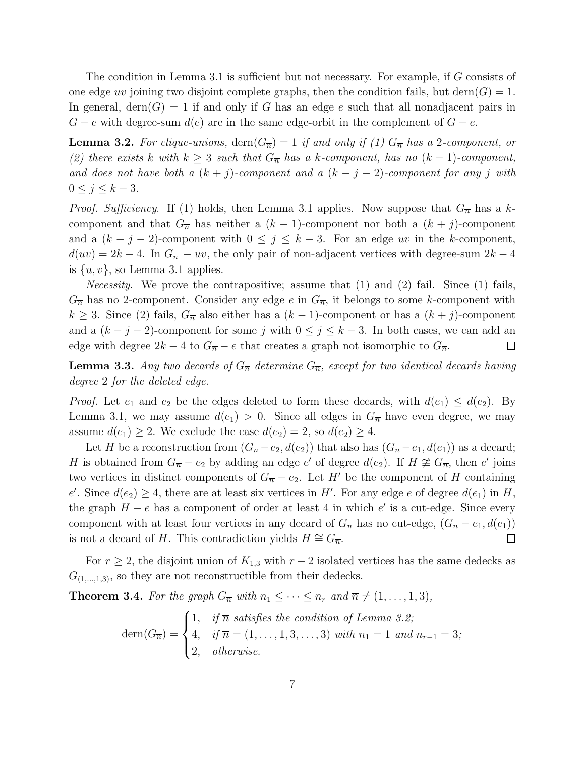The condition in Lemma 3.1 is sufficient but not necessary. For example, if G consists of one edge uv joining two disjoint complete graphs, then the condition fails, but dern $(G) = 1$ . In general, dern(G) = 1 if and only if G has an edge e such that all nonadjacent pairs in  $G - e$  with degree-sum  $d(e)$  are in the same edge-orbit in the complement of  $G - e$ .

**Lemma 3.2.** For clique-unions,  $\text{dern}(G_{\overline{n}}) = 1$  if and only if (1)  $G_{\overline{n}}$  has a 2-component, or *(2) there exists* k with  $k \geq 3$  *such that*  $G_{\overline{n}}$  *has a* k-component, has no  $(k-1)$ -component, *and does not have both a*  $(k + j)$ *-component and a*  $(k - j - 2)$ *-component for any* j with  $0 \le j \le k-3$ *.* 

*Proof. Sufficiency.* If (1) holds, then Lemma 3.1 applies. Now suppose that  $G_{\overline{n}}$  has a kcomponent and that  $G_{\overline{n}}$  has neither a  $(k-1)$ -component nor both a  $(k + j)$ -component and a  $(k - j - 2)$ -component with  $0 \leq j \leq k - 3$ . For an edge uv in the k-component,  $d(uv) = 2k - 4$ . In  $G_{\overline{n}} - uv$ , the only pair of non-adjacent vertices with degree-sum  $2k - 4$ is  $\{u, v\}$ , so Lemma 3.1 applies.

*Necessity*. We prove the contrapositive; assume that (1) and (2) fail. Since (1) fails,  $G_{\overline{n}}$  has no 2-component. Consider any edge e in  $G_{\overline{n}}$ , it belongs to some k-component with  $k \geq 3$ . Since (2) fails,  $G_{\overline{n}}$  also either has a  $(k-1)$ -component or has a  $(k + j)$ -component and a  $(k - j - 2)$ -component for some j with  $0 \le j \le k - 3$ . In both cases, we can add an edge with degree  $2k - 4$  to  $G_{\overline{n}} - e$  that creates a graph not isomorphic to  $G_{\overline{n}}$ .  $\Box$ 

**Lemma 3.3.** Any two decards of  $G_{\overline{n}}$  determine  $G_{\overline{n}}$ , except for two identical decards having *degree* 2 *for the deleted edge.*

*Proof.* Let  $e_1$  and  $e_2$  be the edges deleted to form these decards, with  $d(e_1) \leq d(e_2)$ . By Lemma 3.1, we may assume  $d(e_1) > 0$ . Since all edges in  $G_{\overline{n}}$  have even degree, we may assume  $d(e_1) \geq 2$ . We exclude the case  $d(e_2) = 2$ , so  $d(e_2) \geq 4$ .

Let H be a reconstruction from  $(G_{\overline{n}}-e_2, d(e_2))$  that also has  $(G_{\overline{n}}-e_1, d(e_1))$  as a decard; H is obtained from  $G_{\overline{n}} - e_2$  by adding an edge e' of degree  $d(e_2)$ . If  $H \ncong G_{\overline{n}}$ , then e' joins two vertices in distinct components of  $G_{\overline{n}} - e_2$ . Let H' be the component of H containing e'. Since  $d(e_2) \geq 4$ , there are at least six vertices in H'. For any edge e of degree  $d(e_1)$  in H, the graph  $H - e$  has a component of order at least 4 in which  $e'$  is a cut-edge. Since every component with at least four vertices in any decard of  $G_{\overline{n}}$  has no cut-edge,  $(G_{\overline{n}} - e_1, d(e_1))$ is not a decard of H. This contradiction yields  $H \cong G_{\overline{n}}$ .  $\Box$ 

For  $r \geq 2$ , the disjoint union of  $K_{1,3}$  with  $r-2$  isolated vertices has the same dedecks as  $G_{(1,\ldots,1,3)}$ , so they are not reconstructible from their dedecks.

**Theorem 3.4.** *For the graph*  $G_{\overline{n}}$  *with*  $n_1 \leq \cdots \leq n_r$  *and*  $\overline{n} \neq (1, \ldots, 1, 3)$ *,* 

$$
\text{dern}(G_{\overline{n}}) = \begin{cases} 1, & \text{if } \overline{n} \text{ satisfies the condition of Lemma 3.2;} \\ 4, & \text{if } \overline{n} = (1, \dots, 1, 3, \dots, 3) \text{ with } n_1 = 1 \text{ and } n_{r-1} = 3; \\ 2, & \text{otherwise.} \end{cases}
$$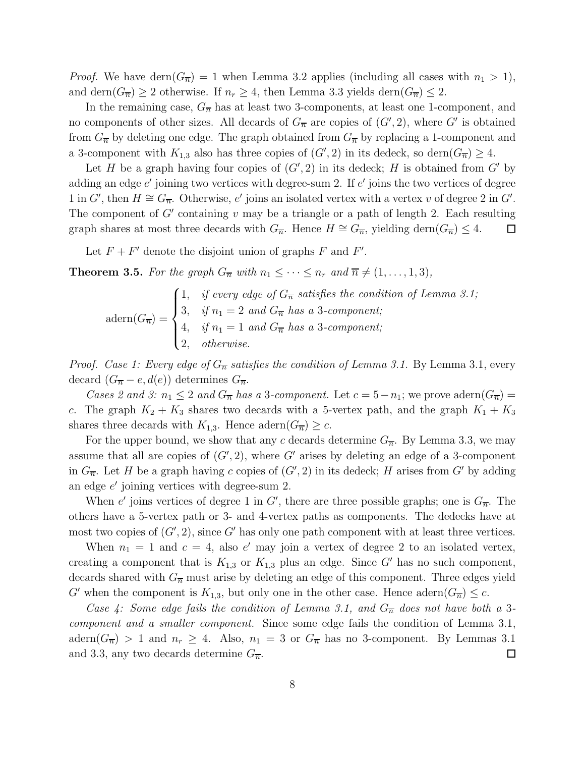*Proof.* We have dern $(G_{\overline{n}}) = 1$  when Lemma 3.2 applies (including all cases with  $n_1 > 1$ ), and dern $(G_{\overline{n}}) \ge 2$  otherwise. If  $n_r \ge 4$ , then Lemma 3.3 yields dern $(G_{\overline{n}}) \le 2$ .

In the remaining case,  $G_{\overline{n}}$  has at least two 3-components, at least one 1-component, and no components of other sizes. All decards of  $G_{\overline{n}}$  are copies of  $(G', 2)$ , where  $G'$  is obtained from  $G_{\overline{n}}$  by deleting one edge. The graph obtained from  $G_{\overline{n}}$  by replacing a 1-component and a 3-component with  $K_{1,3}$  also has three copies of  $(G', 2)$  in its dedeck, so dern $(G_{\overline{n}}) \geq 4$ .

Let H be a graph having four copies of  $(G', 2)$  in its dedeck; H is obtained from G' by adding an edge  $e'$  joining two vertices with degree-sum 2. If  $e'$  joins the two vertices of degree 1 in G', then  $H \cong G_{\overline{n}}$ . Otherwise, e' joins an isolated vertex with a vertex v of degree 2 in G'. The component of  $G'$  containing  $v$  may be a triangle or a path of length 2. Each resulting graph shares at most three decards with  $G_{\overline{n}}$ . Hence  $H \cong G_{\overline{n}}$ , yielding dern $(G_{\overline{n}}) \leq 4$ .  $\Box$ 

Let  $F + F'$  denote the disjoint union of graphs F and F'.

**Theorem 3.5.** *For the graph*  $G_{\overline{n}}$  *with*  $n_1 \leq \cdots \leq n_r$  *and*  $\overline{n} \neq (1, \ldots, 1, 3)$ *,* 

$$
adern(G_{\overline{n}}) = \begin{cases} 1, & \text{if every edge of } G_{\overline{n}} \text{ satisfies the condition of Lemma 3.1;} \\ 3, & \text{if } n_1 = 2 \text{ and } G_{\overline{n}} \text{ has a 3-component;} \\ 4, & \text{if } n_1 = 1 \text{ and } G_{\overline{n}} \text{ has a 3-component;} \\ 2, & \text{otherwise.} \end{cases}
$$

*Proof. Case 1: Every edge of*  $G_{\overline{n}}$  *satisfies the condition of Lemma 3.1.* By Lemma 3.1, every decard  $(G_{\overline{n}} - e, d(e))$  determines  $G_{\overline{n}}$ .

*Cases 2 and 3:*  $n_1 \leq 2$  *and*  $G_{\overline{n}}$  *has a* 3*-component.* Let  $c = 5 - n_1$ ; we prove adern $(G_{\overline{n}})$ c. The graph  $K_2 + K_3$  shares two decards with a 5-vertex path, and the graph  $K_1 + K_3$ shares three decards with  $K_{1,3}$ . Hence adern $(G_{\overline{n}}) \geq c$ .

For the upper bound, we show that any c decards determine  $G_{\overline{n}}$ . By Lemma 3.3, we may assume that all are copies of  $(G', 2)$ , where G' arises by deleting an edge of a 3-component in  $G_{\overline{n}}$ . Let H be a graph having c copies of  $(G', 2)$  in its dedeck; H arises from G' by adding an edge  $e'$  joining vertices with degree-sum 2.

When e' joins vertices of degree 1 in G', there are three possible graphs; one is  $G_{\overline{n}}$ . The others have a 5-vertex path or 3- and 4-vertex paths as components. The dedecks have at most two copies of  $(G', 2)$ , since G' has only one path component with at least three vertices.

When  $n_1 = 1$  and  $c = 4$ , also e' may join a vertex of degree 2 to an isolated vertex, creating a component that is  $K_{1,3}$  or  $K_{1,3}$  plus an edge. Since G' has no such component, decards shared with  $G_{\overline{n}}$  must arise by deleting an edge of this component. Three edges yield G' when the component is  $K_{1,3}$ , but only one in the other case. Hence  $adern(G_{\overline{n}}) \leq c$ .

*Case 4: Some edge fails the condition of Lemma 3.1, and*  $G_{\overline{n}}$  *does not have both a* 3*component and a smaller component.* Since some edge fails the condition of Lemma 3.1,  $adern(G_{\overline{n}}) > 1$  and  $n_r \geq 4$ . Also,  $n_1 = 3$  or  $G_{\overline{n}}$  has no 3-component. By Lemmas 3.1 and 3.3, any two decards determine  $G_{\overline{n}}$ .  $\Box$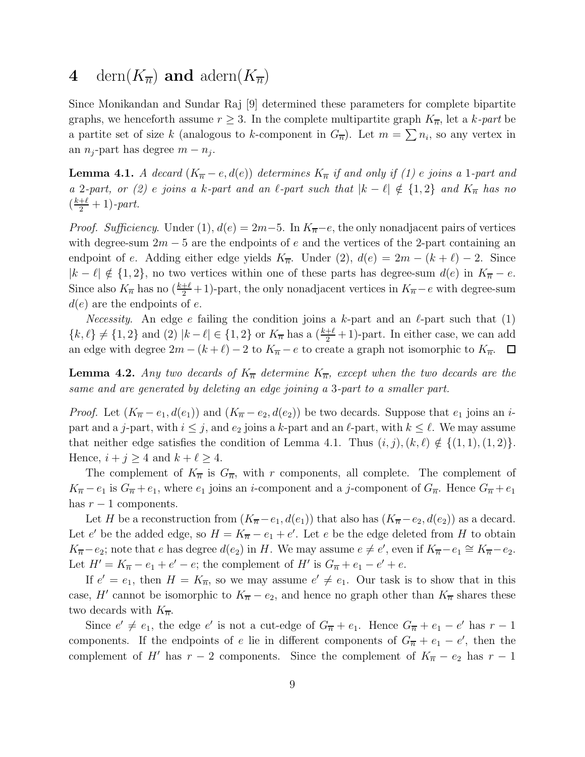### 4 dern $(K_{\overline{n}})$  and adern $(K_{\overline{n}})$

Since Monikandan and Sundar Raj [9] determined these parameters for complete bipartite graphs, we henceforth assume  $r \geq 3$ . In the complete multipartite graph  $K_{\overline{n}}$ , let a k-part be a partite set of size k (analogous to k-component in  $G_{\overline{n}}$ ). Let  $m = \sum n_i$ , so any vertex in an  $n_j$ -part has degree  $m - n_j$ .

**Lemma 4.1.** *A decard*  $(K_{\overline{n}} - e, d(e))$  *determines*  $K_{\overline{n}}$  *if and only if (1) e joins a* 1*-part and a* 2*-part, or (2) e joins a* k*-part and an*  $\ell$ *-part such that*  $|k - \ell| \notin \{1, 2\}$  *and*  $K_{\overline{n}}$  *has no*  $\left(\frac{k+\ell}{2}+1\right)$ *-part.* 

*Proof. Sufficiency.* Under (1),  $d(e) = 2m-5$ . In  $K_{\overline{n}}-e$ , the only nonadjacent pairs of vertices with degree-sum  $2m - 5$  are the endpoints of e and the vertices of the 2-part containing an endpoint of e. Adding either edge yields  $K_{\overline{n}}$ . Under (2),  $d(e) = 2m - (k + \ell) - 2$ . Since  $|k - \ell| \notin \{1, 2\}$ , no two vertices within one of these parts has degree-sum  $d(e)$  in  $K_{\overline{n}} - e$ . Since also  $K_{\overline{n}}$  has no  $(\frac{k+\ell}{2}+1)$ -part, the only nonadjacent vertices in  $K_{\overline{n}}-e$  with degree-sum  $d(e)$  are the endpoints of e.

*Necessity*. An edge e failing the condition joins a k-part and an  $\ell$ -part such that  $(1)$  $\{k, \ell\} \neq \{1, 2\}$  and (2)  $|k - \ell| \in \{1, 2\}$  or  $K_{\overline{n}}$  has a  $(\frac{k+\ell}{2}+1)$ -part. In either case, we can add an edge with degree  $2m - (k + \ell) - 2$  to  $K_{\overline{n}} - e$  to create a graph not isomorphic to  $K_{\overline{n}}$ .  $\Box$ 

**Lemma 4.2.** Any two decards of  $K_{\overline{n}}$  determine  $K_{\overline{n}}$ , except when the two decards are the *same and are generated by deleting an edge joining a* 3*-part to a smaller part.*

*Proof.* Let  $(K_{\overline{n}} - e_1, d(e_1))$  and  $(K_{\overline{n}} - e_2, d(e_2))$  be two decards. Suppose that  $e_1$  joins an *i*part and a j-part, with  $i \leq j$ , and  $e_2$  joins a k-part and an  $\ell$ -part, with  $k \leq \ell$ . We may assume that neither edge satisfies the condition of Lemma 4.1. Thus  $(i, j)$ ,  $(k, \ell) \notin \{(1, 1), (1, 2)\}.$ Hence,  $i + j \geq 4$  and  $k + \ell \geq 4$ .

The complement of  $K_{\overline{n}}$  is  $G_{\overline{n}}$ , with r components, all complete. The complement of  $K_{\overline{n}} - e_1$  is  $G_{\overline{n}} + e_1$ , where  $e_1$  joins an *i*-component and a *j*-component of  $G_{\overline{n}}$ . Hence  $G_{\overline{n}} + e_1$ has  $r - 1$  components.

Let H be a reconstruction from  $(K_{\overline{n}}-e_1, d(e_1))$  that also has  $(K_{\overline{n}}-e_2, d(e_2))$  as a decard. Let e' be the added edge, so  $H = K_{\overline{n}} - e_1 + e'$ . Let e be the edge deleted from H to obtain  $K_{\overline{n}}-e_2$ ; note that e has degree  $d(e_2)$  in H. We may assume  $e \neq e'$ , even if  $K_{\overline{n}}-e_1 \cong K_{\overline{n}}-e_2$ . Let  $H' = K_{\overline{n}} - e_1 + e' - e$ ; the complement of H' is  $G_{\overline{n}} + e_1 - e' + e$ .

If  $e' = e_1$ , then  $H = K_{\overline{n}}$ , so we may assume  $e' \neq e_1$ . Our task is to show that in this case, H' cannot be isomorphic to  $K_{\overline{n}} - e_2$ , and hence no graph other than  $K_{\overline{n}}$  shares these two decards with  $K_{\overline{n}}$ .

Since  $e' \neq e_1$ , the edge  $e'$  is not a cut-edge of  $G_{\overline{n}} + e_1$ . Hence  $G_{\overline{n}} + e_1 - e'$  has  $r - 1$ components. If the endpoints of e lie in different components of  $G_{\overline{n}} + e_1 - e'$ , then the complement of H' has  $r-2$  components. Since the complement of  $K_{\overline{n}}-e_2$  has  $r-1$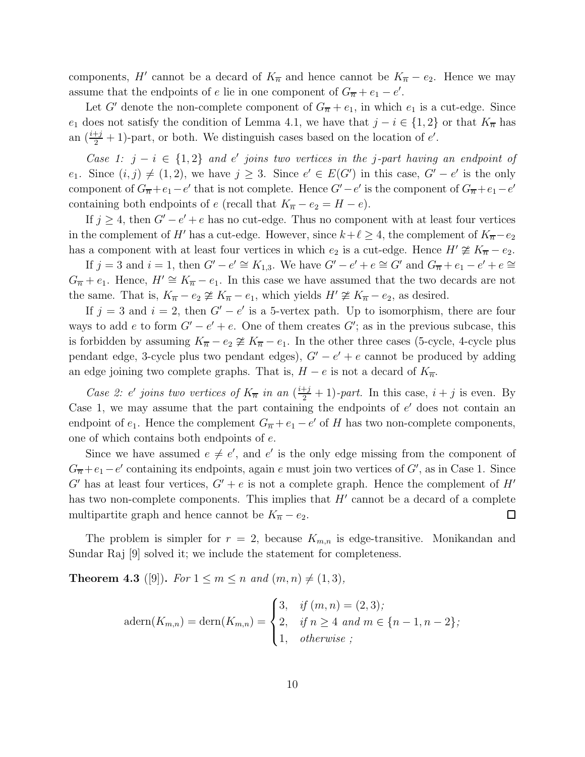components, H' cannot be a decard of  $K_{\overline{n}}$  and hence cannot be  $K_{\overline{n}} - e_2$ . Hence we may assume that the endpoints of e lie in one component of  $G_{\overline{n}} + e_1 - e'$ .

Let G' denote the non-complete component of  $G_{\overline{n}} + e_1$ , in which  $e_1$  is a cut-edge. Since  $e_1$  does not satisfy the condition of Lemma 4.1, we have that  $j - i \in \{1, 2\}$  or that  $K_{\overline{n}}$  has an  $(\frac{i+j}{2} + 1)$ -part, or both. We distinguish cases based on the location of e'.

*Case 1:*  $j - i \in \{1, 2\}$  *and* e' *joins two vertices in the j-part having an endpoint of* e<sub>1</sub>. Since  $(i, j) \neq (1, 2)$ , we have  $j \geq 3$ . Since  $e' \in E(G')$  in this case,  $G' - e'$  is the only component of  $G_{\overline{n}} + e_1 - e'$  that is not complete. Hence  $G' - e'$  is the component of  $G_{\overline{n}} + e_1 - e'$ containing both endpoints of e (recall that  $K_{\overline{n}} - e_2 = H - e$ ).

If  $j \geq 4$ , then  $G' - e' + e$  has no cut-edge. Thus no component with at least four vertices in the complement of H' has a cut-edge. However, since  $k+\ell \geq 4$ , the complement of  $K_{\overline{n}}-e_2$ has a component with at least four vertices in which  $e_2$  is a cut-edge. Hence  $H' \ncong K_{\overline{n}} - e_2$ .

If  $j = 3$  and  $i = 1$ , then  $G' - e' \cong K_{1,3}$ . We have  $G' - e' + e \cong G'$  and  $G_{\overline{n}} + e_1 - e' + e \cong G'$  $G_{\overline{n}} + e_1$ . Hence,  $H' \cong K_{\overline{n}} - e_1$ . In this case we have assumed that the two decards are not the same. That is,  $K_{\overline{n}} - e_2 \ncong K_{\overline{n}} - e_1$ , which yields  $H' \ncong K_{\overline{n}} - e_2$ , as desired.

If  $j = 3$  and  $i = 2$ , then  $G' - e'$  is a 5-vertex path. Up to isomorphism, there are four ways to add e to form  $G' - e' + e$ . One of them creates  $G'$ ; as in the previous subcase, this is forbidden by assuming  $K_{\overline{n}} - e_2 \ncong K_{\overline{n}} - e_1$ . In the other three cases (5-cycle, 4-cycle plus pendant edge, 3-cycle plus two pendant edges),  $G' - e' + e$  cannot be produced by adding an edge joining two complete graphs. That is,  $H - e$  is not a decard of  $K_{\overline{n}}$ .

*Case 2: e' joins two vertices of*  $K_{\overline{n}}$  *in an*  $(\frac{i+j}{2} + 1)$ *-part.* In this case,  $i + j$  is even. By Case 1, we may assume that the part containing the endpoints of  $e'$  does not contain an endpoint of  $e_1$ . Hence the complement  $G_{\overline{n}} + e_1 - e'$  of H has two non-complete components, one of which contains both endpoints of e.

Since we have assumed  $e \neq e'$ , and  $e'$  is the only edge missing from the component of  $G_{\overline{n}}+e_1-e'$  containing its endpoints, again e must join two vertices of  $G'$ , as in Case 1. Since G' has at least four vertices,  $G' + e$  is not a complete graph. Hence the complement of H' has two non-complete components. This implies that  $H'$  cannot be a decard of a complete multipartite graph and hence cannot be  $K_{\overline{n}} - e_2$ .  $\Box$ 

The problem is simpler for  $r = 2$ , because  $K_{m,n}$  is edge-transitive. Monikandan and Sundar Raj [9] solved it; we include the statement for completeness.

**Theorem 4.3** ([9]). *For*  $1 \le m \le n$  *and*  $(m, n) \ne (1, 3)$ *,* 

$$
adern(K_{m,n}) = \text{dern}(K_{m,n}) = \begin{cases} 3, & \text{if } (m,n) = (2,3); \\ 2, & \text{if } n \ge 4 \text{ and } m \in \{n-1, n-2\}; \\ 1, & \text{otherwise } ; \end{cases}
$$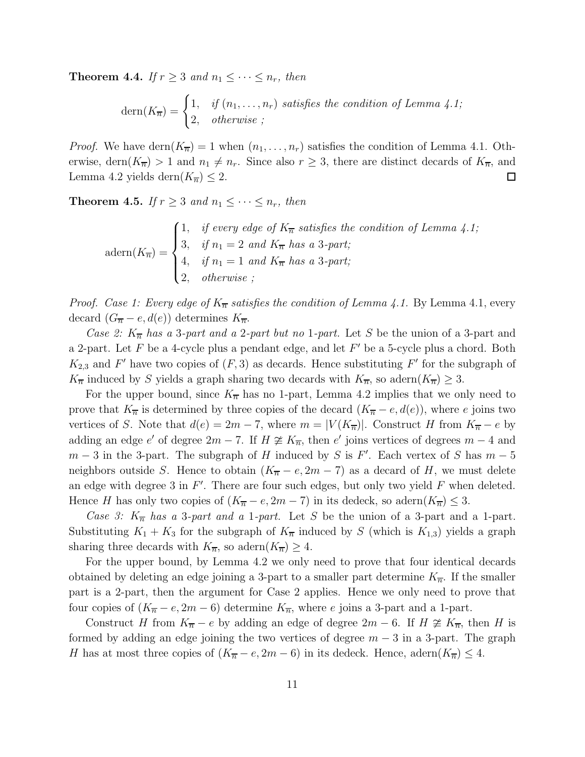**Theorem 4.4.** *If*  $r \geq 3$  *and*  $n_1 \leq \cdots \leq n_r$ *, then* 

$$
\text{dern}(K_{\overline{n}}) = \begin{cases} 1, & \text{if } (n_1, \dots, n_r) \text{ satisfies the condition of Lemma 4.1;} \\ 2, & \text{otherwise } \end{cases}
$$

*Proof.* We have dern $(K_{\overline{n}}) = 1$  when  $(n_1, \ldots, n_r)$  satisfies the condition of Lemma 4.1. Otherwise, dern $(K_{\overline{n}}) > 1$  and  $n_1 \neq n_r$ . Since also  $r \geq 3$ , there are distinct decards of  $K_{\overline{n}}$ , and Lemma 4.2 yields dern $(K_{\overline{n}}) \leq 2$ .  $\Box$ 

**Theorem 4.5.** *If*  $r \geq 3$  *and*  $n_1 \leq \cdots \leq n_r$ *, then* 

$$
\text{adern}(K_{\overline{n}}) = \begin{cases} 1, & \text{if every edge of } K_{\overline{n}} \text{ satisfies the condition of Lemma 4.1;} \\ 3, & \text{if } n_1 = 2 \text{ and } K_{\overline{n}} \text{ has a 3-part;} \\ 4, & \text{if } n_1 = 1 \text{ and } K_{\overline{n}} \text{ has a 3-part;} \\ 2, & \text{otherwise } ; \end{cases}
$$

*Proof. Case 1: Every edge of*  $K_{\overline{n}}$  *satisfies the condition of Lemma 4.1.* By Lemma 4.1, every decard  $(G_{\overline{n}} - e, d(e))$  determines  $K_{\overline{n}}$ .

*Case 2:*  $K_{\overline{n}}$  *has a* 3*-part and a* 2*-part but no* 1*-part.* Let S be the union of a 3-part and a 2-part. Let F be a 4-cycle plus a pendant edge, and let  $F'$  be a 5-cycle plus a chord. Both  $K_{2,3}$  and F' have two copies of  $(F, 3)$  as decards. Hence substituting F' for the subgraph of  $K_{\overline{n}}$  induced by S yields a graph sharing two decards with  $K_{\overline{n}}$ , so adern $(K_{\overline{n}}) \geq 3$ .

For the upper bound, since  $K_{\overline{n}}$  has no 1-part, Lemma 4.2 implies that we only need to prove that  $K_{\overline{n}}$  is determined by three copies of the decard  $(K_{\overline{n}} - e, d(e))$ , where e joins two vertices of S. Note that  $d(e) = 2m - 7$ , where  $m = |V(K_{\overline{n}})|$ . Construct H from  $K_{\overline{n}} - e$  by adding an edge e' of degree  $2m - 7$ . If  $H \not\cong K_{\overline{n}}$ , then e' joins vertices of degrees  $m - 4$  and  $m-3$  in the 3-part. The subgraph of H induced by S is F'. Each vertex of S has  $m-5$ neighbors outside S. Hence to obtain  $(K_{\overline{n}} - e, 2m - 7)$  as a decard of H, we must delete an edge with degree 3 in  $F'$ . There are four such edges, but only two yield  $F$  when deleted. Hence H has only two copies of  $(K_{\overline{n}} - e, 2m - 7)$  in its dedeck, so adern $(K_{\overline{n}}) \leq 3$ .

*Case 3:*  $K_{\overline{n}}$  *has a* 3*-part and a* 1*-part.* Let S be the union of a 3-part and a 1-part. Substituting  $K_1 + K_3$  for the subgraph of  $K_{\overline{n}}$  induced by S (which is  $K_{1,3}$ ) yields a graph sharing three decards with  $K_{\overline{n}}$ , so adern $(K_{\overline{n}}) \geq 4$ .

For the upper bound, by Lemma 4.2 we only need to prove that four identical decards obtained by deleting an edge joining a 3-part to a smaller part determine  $K_{\overline{n}}$ . If the smaller part is a 2-part, then the argument for Case 2 applies. Hence we only need to prove that four copies of  $(K_{\overline{n}} - e, 2m - 6)$  determine  $K_{\overline{n}}$ , where e joins a 3-part and a 1-part.

Construct H from  $K_{\overline{n}} - e$  by adding an edge of degree  $2m - 6$ . If  $H \not\cong K_{\overline{n}}$ , then H is formed by adding an edge joining the two vertices of degree  $m-3$  in a 3-part. The graph H has at most three copies of  $(K_{\overline{n}} - e, 2m - 6)$  in its dedeck. Hence, adern $(K_{\overline{n}}) \leq 4$ .